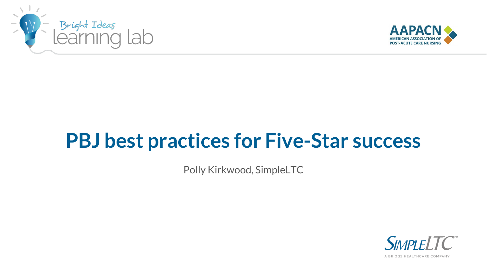



# **PBJ best practices for Five-Star success**

Polly Kirkwood, SimpleLTC

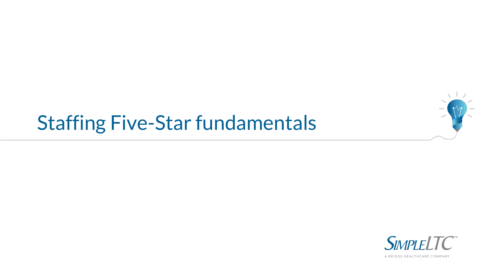

# Staffing Five-Star fundamentals

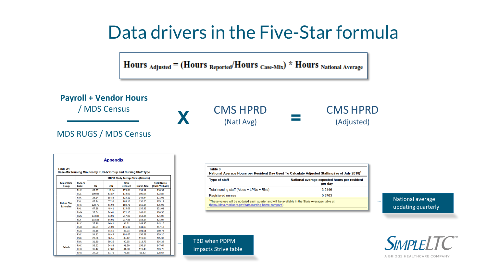#### Data drivers in the Five-Star formula

Hours  $_{\text{adjusted}} = (\text{Hours}_{\text{Reported}} / \text{Hours}_{\text{Case-Mix}})$  \* Hours National Average



**Appendix Table A1** Case-Mix Nursing Minutes by RUG-IV Group and Nursing Staff Type

|                                       |                       | <b>STRIVE Study Average Times (Minutes)</b> |            |                                 |                   |                                     |  |
|---------------------------------------|-----------------------|---------------------------------------------|------------|---------------------------------|-------------------|-------------------------------------|--|
| <b>Major RUG</b><br><b>Group</b>      | <b>RUG-IV</b><br>Code | <b>RN</b>                                   | <b>LPN</b> | <b>Total</b><br><b>Licensed</b> | <b>Nurse Aide</b> | <b>Total Nurse</b><br>(RN+LPN+Aide) |  |
| <b>Rehab Plus</b><br><b>Extensive</b> | <b>RUX</b>            | 68.37                                       | 111.44     | 179.81                          | 131.11            | 310.92                              |  |
|                                       | <b>RUL</b>            | 109.06                                      | 63.87      | 172.93                          | 199.94            | 372.87                              |  |
|                                       | <b>RVX</b>            | 29.24                                       | 95.88      | 125.12                          | 145.94            | 271.06                              |  |
|                                       | <b>RVL</b>            | 67.74                                       | 97.39      | 165.13                          | 139.99            | 305.12                              |  |
|                                       | <b>RHX</b>            | 128.79                                      | 51.92      | 180.71                          | 155.24            | 335.95                              |  |
|                                       | <b>RHL</b>            | 67.28                                       | 48.41      | 115.69                          | 135.32            | 251.01                              |  |
|                                       | <b>RMX</b>            | 97.54                                       | 74.61      | 172.15                          | 148.44            | 320.59                              |  |
|                                       | <b>RML</b>            | 133.82                                      | 84.01      | 217.83                          | 153.24            | 371.07                              |  |
|                                       | <b>RLX</b>            | 133.82                                      | 84.01      | 217.83                          | 153.24            | 371.07                              |  |
|                                       | <b>RUC</b>            | 27.80                                       | 66.41      | 94.21                           | 148.95            | 243.16                              |  |
|                                       | <b>RUB</b>            | 45.01                                       | 71.09      | 116.10                          | 141.03            | 257.13                              |  |
|                                       | <b>RUA</b>            | 35.18                                       | 54.55      | 89.73                           | 101.01            | 190.74                              |  |
|                                       | <b>RVC</b>            | 34.22                                       | 68.45      | 102.67                          | 156.53            | 259.20                              |  |
|                                       | <b>RVB</b>            | 28.86                                       | 56.56      | 85.42                           | 119.90            | 205.32                              |  |
| <b>Rehab</b>                          | <b>RVA</b>            | 31.30                                       | 59.35      | 90.65                           | 113.73            | 204.38                              |  |
|                                       | RHC <sub></sub>       | 36.62                                       | 54.88      | 91.50                           | 156.14            | 247.64                              |  |
|                                       | <b>RHB</b>            | 36.42                                       | 47.88      | 84.30                           | 119.48            | 203.78                              |  |
|                                       | <b>RHA</b>            | 27.09                                       | 51.76      | 78.85                           | 99.82             | 178.67                              |  |

| <b>Type of staff</b>                     | National average expected hours per resident<br>per day |  |  |
|------------------------------------------|---------------------------------------------------------|--|--|
| Total nursing staff (Aides + LPNs + RNs) | 3.2146                                                  |  |  |
| <b>Registered nurses</b>                 | 0.3763                                                  |  |  |

National average updating quarterly

 $\overline{\phantom{m}}$ 

TBD when PDPM impacts Strive table

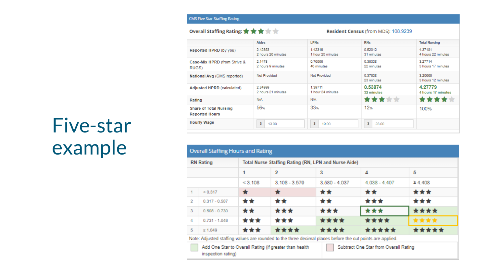#### Overall Staffing Rating: ★ ★ ★ ★ ★

#### Resident Census (from MDS): 108.9239

|                                                        | Aides                         | <b>LPNs</b>                  | <b>RNs</b>            | <b>Total Nursing</b>          |
|--------------------------------------------------------|-------------------------------|------------------------------|-----------------------|-------------------------------|
| Reported HPRD (by you)                                 | 2.42853<br>2 hours 26 minutes | 1.42316<br>1 hour 25 minutes | 0.52012<br>31 minutes | 4.37181<br>4 hours 22 minutes |
| Case-Mix HPRD (from Strive &<br>RUGS)                  | 2.1478<br>2 hours 9 minutes   | 0.76596<br>46 minutes        | 0.36338<br>22 minutes | 3.27714<br>3 hours 17 minutes |
| National Avg (CMS reported)                            | Not Provided                  | Not Provided                 | 0.37638<br>23 minutes | 3.20666<br>3 hours 12 minutes |
| Adjusted HPRD (calculated)                             | 2.34999<br>2 hours 21 minutes | 1.39711<br>1 hour 24 minutes | 0.53874<br>32 minutes | 4.27779<br>4 hours 17 minutes |
| Rating                                                 | N/A                           | N/A                          | <b>文文文文</b>           |                               |
| <b>Share of Total Nursing</b><br><b>Reported Hours</b> | 56%                           | 33 <sub>%</sub>              | 12%                   | 100%                          |
| <b>Hourly Wage</b>                                     | s<br>13.00                    | \$<br>19.00                  | s<br>28.00            |                               |

#### **Overall Staffing Hours and Rating RN** Rating Total Nurse Staffing Rating (RN, LPN and Nurse Aide)  $\overline{2}$  $\mathbf{1}$ 3 4 5  $< 3.108$  $3.108 - 3.579$  $3.580 - 4.037$  $4.038 - 4.407$  $\geq 4.408$ \*\*\*  $< 0.317$  $\star$  $\star$ \*\* \*\*  $\mathbf{1}$ \*\* \*\*\* \*\*\* \*\* \*\*  $\overline{2}$  $0.317 - 0.507$ \*\*\* \*\*\*\* \*\* \*\*\* \*\*\*  $\mathbf{3}$  $0.508 - 0.730$ \*\*\*\* \*\*\* \*\*\* \*\*\*\*  $\overline{4}$  $0.731 - 1.048$ \*\*\*\* \*\*\* \*\*\*\* \*\*\*\* \*\*\*\*\* \*\*\*\*\* 5  $\geq 1.049$

Note: Adjusted staffing values are rounded to the three decimal places before the cut points are applied.

Add One Star to Overall Rating (if greater than health inspection rating)

Subtract One Star from Overall Rating

# Five-star example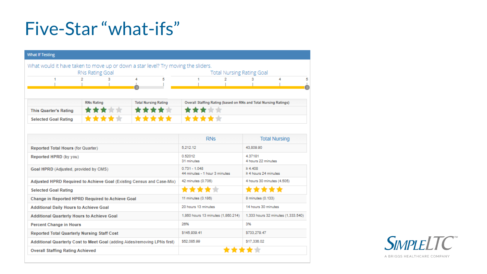## Five-Star "what-ifs"

| <b>What If Testing</b>                                                            |        |        |                                                  |                                                                  |                                           |                      |  |  |
|-----------------------------------------------------------------------------------|--------|--------|--------------------------------------------------|------------------------------------------------------------------|-------------------------------------------|----------------------|--|--|
| What would it have taken to move up or down a star level? Try moving the sliders. |        |        |                                                  |                                                                  |                                           |                      |  |  |
| RNs Rating Goal                                                                   |        |        |                                                  | <b>Total Nursing Rating Goal</b>                                 |                                           |                      |  |  |
|                                                                                   | 2<br>з | 5<br>4 |                                                  | 2                                                                | з                                         | 4                    |  |  |
|                                                                                   |        |        |                                                  |                                                                  |                                           |                      |  |  |
| <b>Total Nursing Rating</b><br><b>RNs Rating</b>                                  |        |        |                                                  | Overall Staffing Rating (based on RNs and Total Nursing Ratings) |                                           |                      |  |  |
| <b>This Quarter's Rating</b>                                                      |        |        |                                                  |                                                                  |                                           |                      |  |  |
| ***<br><b>Selected Goal Rating</b>                                                |        |        |                                                  | ****                                                             |                                           |                      |  |  |
|                                                                                   |        |        |                                                  |                                                                  |                                           |                      |  |  |
|                                                                                   |        |        |                                                  | <b>RNs</b>                                                       |                                           | <b>Total Nursing</b> |  |  |
| Reported Total Hours (for Quarter)                                                |        |        | 5.212.12                                         |                                                                  |                                           | 43.809.90            |  |  |
| Reported HPRD (by you)                                                            |        |        | 0.52012<br>31 minutes                            |                                                                  | 4.37181<br>4 hours 22 minutes             |                      |  |  |
| Goal HPRD (Adjusted, provided by CMS)                                             |        |        | $0.731 - 1.048$<br>44 minutes - 1 hour 3 minutes |                                                                  | $\geq 4.408$<br>$\geq 4$ hours 24 minutes |                      |  |  |
| Adjusted HPRD Required to Achieve Goal (Existing Census and Case-Mix)             |        |        | 42 minutes (0.706)                               |                                                                  | 4 hours 30 minutes (4.505)                |                      |  |  |
| <b>Selected Goal Rating</b>                                                       |        |        | ****                                             |                                                                  | *****                                     |                      |  |  |
| Change in Reported HPRD Required to Achieve Goal                                  |        |        | 11 minutes (0.186)                               |                                                                  | 8 minutes (0.133)                         |                      |  |  |
| <b>Additional Daily Hours to Achieve Goal</b>                                     |        |        | 20 hours 13 minutes                              |                                                                  | 14 hours 30 minutes                       |                      |  |  |
| <b>Additional Quarterly Hours to Achieve Goal</b>                                 |        |        |                                                  | 1,860 hours 13 minutes (1,860.214)                               | 1,333 hours 32 minutes (1,333.540)        |                      |  |  |
| <b>Percent Change in Hours</b>                                                    |        |        | 26%                                              |                                                                  | 3%                                        |                      |  |  |
| <b>Reported Total Quarterly Nursing Staff Cost</b>                                |        |        | \$145,939.41                                     |                                                                  | \$733.279.47                              |                      |  |  |
| Additional Quarterly Cost to Meet Goal (adding Aides/removing LPNs first)         |        |        | \$52,085.99                                      | \$17,336.02                                                      |                                           |                      |  |  |
| <b>Overall Staffing Rating Achieved</b>                                           |        |        |                                                  |                                                                  |                                           |                      |  |  |

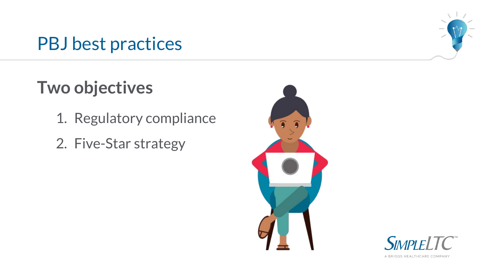### PBJ best practices



## **Two objectives**

- 1. Regulatory compliance
- 2. Five-Star strategy



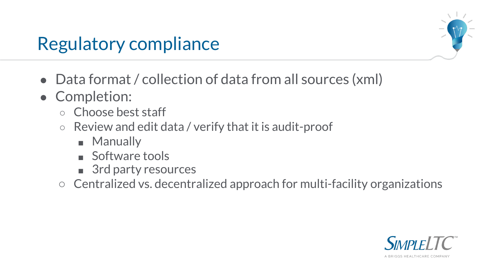## Regulatory compliance

- Data format / collection of data from all sources (xml)
- Completion:
	- Choose best staff
	- Review and edit data / verify that it is audit-proof
		- Manually
		- Software tools
		- 3rd party resources
	- Centralized vs. decentralized approach for multi-facility organizations

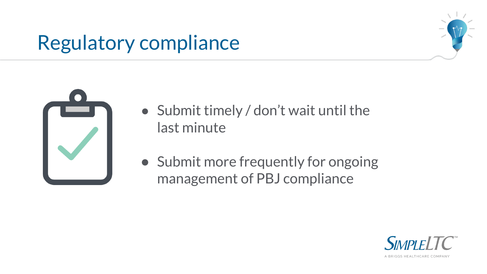# Regulatory compliance





- Submit timely / don't wait until the last minute
- Submit more frequently for ongoing management of PBJ compliance

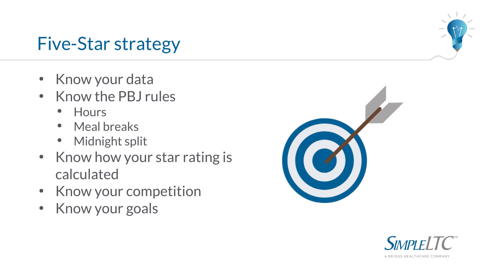### Five-Star strategy

- Know your data
- Know the PBJ rules
	- Hours
	- Meal breaks
	- Midnight split
- Know how your star rating is calculated
- Know your competition
- Know your goals





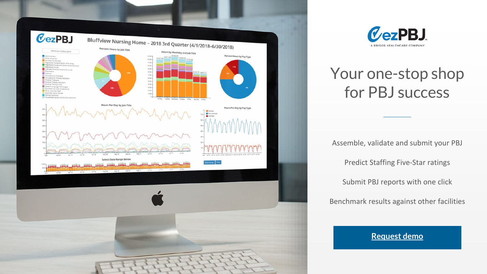



#### Your one-stop shop for PBJ success

Assemble, validate and submit your PBJ Predict Staffing Five-Star ratings Submit PBJ reports with one click Benchmark results against other facilities

#### **[Request demo](https://www.simpleltc.com/demo/)**